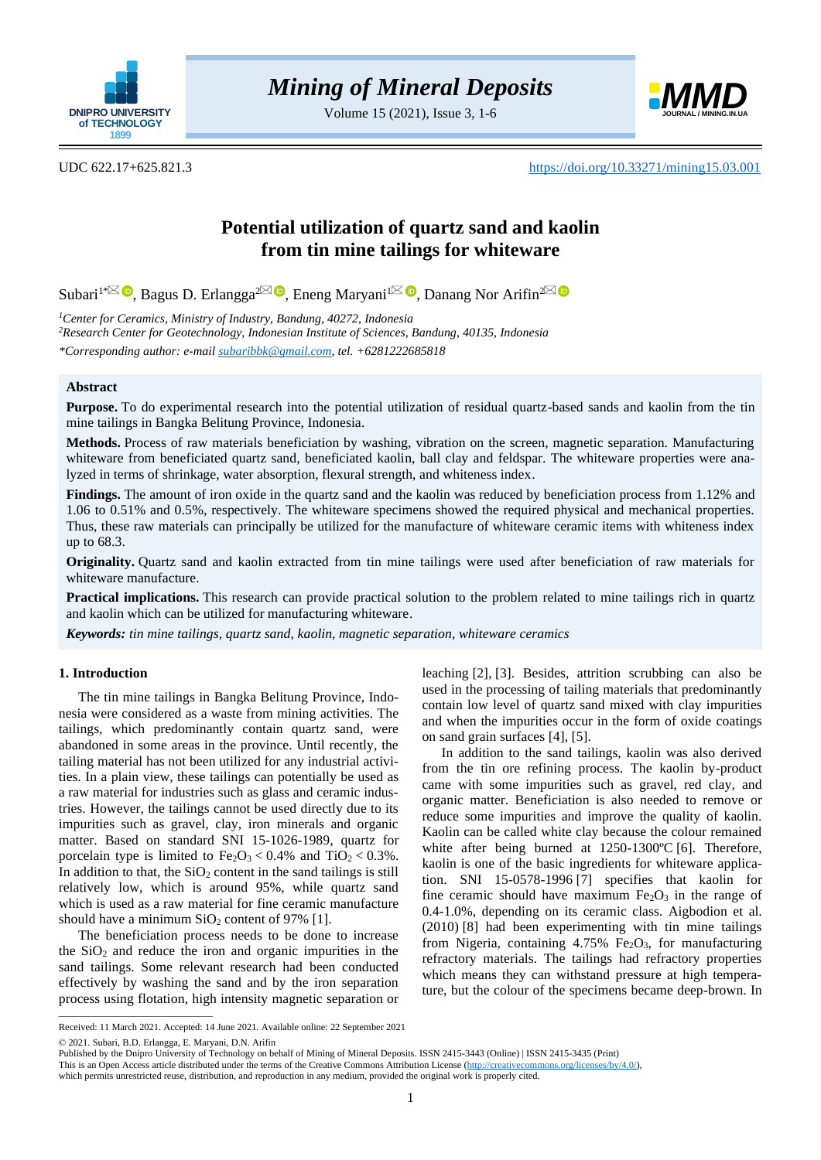

Volume 15 (2021), Issue 3, 1-6



UDC 622.17+625.821.3 <https://doi.org/10.33271/mining15.03.001>

# **Potential utilization of quartz sand and kaolin from tin mine tailings for whiteware**

Subari<sup>1[\\*](mailto:subaribbk@gmail.com) $\boxtimes$  **D**, Bagus D. Erlangga<sup>[2](mailto:danang.na@gmail.com) $\boxtimes$ </sup> **D**[,](https://orcid.org/0000-0003-4906-3275) Eneng Maryani<sup>[1](mailto:maryani_eneng@yahoo.co.id) $\boxtimes$ </sup> **D**, Danang Nor Arifin<sup>2</sup></sup>

*<sup>1</sup>Center for Ceramics, Ministry of Industry, Bandung, 40272, Indonesia <sup>2</sup>Research Center for Geotechnology, Indonesian Institute of Sciences, Bandung, 40135, Indonesia \*Corresponding author: e-mail [subaribbk@gmail.com,](mailto:subaribbk@gmail.com) tel. +6281222685818*

# **Abstract**

**Purpose.** To do experimental research into the potential utilization of residual quartz-based sands and kaolin from the tin mine tailings in Bangka Belitung Province, Indonesia.

**Methods.** Process of raw materials beneficiation by washing, vibration on the screen, magnetic separation. Manufacturing whiteware from beneficiated quartz sand, beneficiated kaolin, ball clay and feldspar. The whiteware properties were analyzed in terms of shrinkage, water absorption, flexural strength, and whiteness index.

**Findings.** The amount of iron oxide in the quartz sand and the kaolin was reduced by beneficiation process from 1.12% and 1.06 to 0.51% and 0.5%, respectively. The whiteware specimens showed the required physical and mechanical properties. Thus, these raw materials can principally be utilized for the manufacture of whiteware ceramic items with whiteness index up to 68.3.

**Originality.** Quartz sand and kaolin extracted from tin mine tailings were used after beneficiation of raw materials for whiteware manufacture.

**Practical implications.** This research can provide practical solution to the problem related to mine tailings rich in quartz and kaolin which can be utilized for manufacturing whiteware.

*Keywords: tin mine tailings, quartz sand, kaolin, magnetic separation, whiteware ceramics*

# **1. Introduction**

The tin mine tailings in Bangka Belitung Province, Indonesia were considered as a waste from mining activities. The tailings, which predominantly contain quartz sand, were abandoned in some areas in the province. Until recently, the tailing material has not been utilized for any industrial activities. In a plain view, these tailings can potentially be used as a raw material for industries such as glass and ceramic industries. However, the tailings cannot be used directly due to its impurities such as gravel, clay, iron minerals and organic matter. Based on standard SNI 15-1026-1989, quartz for porcelain type is limited to  $Fe<sub>2</sub>O<sub>3</sub> < 0.4%$  and  $TiO<sub>2</sub> < 0.3%$ . In addition to that, the  $SiO<sub>2</sub>$  content in the sand tailings is still relatively low, which is around 95%, while quartz sand which is used as a raw material for fine ceramic manufacture should have a minimum  $SiO<sub>2</sub>$  content of 97% [\[1\].](#page-4-0)

The beneficiation process needs to be done to increase the  $SiO<sub>2</sub>$  and reduce the iron and organic impurities in the sand tailings. Some relevant research had been conducted effectively by washing the sand and by the iron separation process using flotation, high intensity magnetic separation or leaching [\[2\],](#page-4-1) [\[3\].](#page-4-2) Besides, attrition scrubbing can also be used in the processing of tailing materials that predominantly contain low level of quartz sand mixed with clay impurities and when the impurities occur in the form of oxide coatings on sand grain surfaces [\[4\],](#page-4-3) [\[5\].](#page-4-4)

In addition to the sand tailings, kaolin was also derived from the tin ore refining process. The kaolin by-product came with some impurities such as gravel, red clay, and organic matter. Beneficiation is also needed to remove or reduce some impurities and improve the quality of kaolin. Kaolin can be called white clay because the colour remained white after being burned at 1250-1300°C [\[6\].](#page-4-5) Therefore, kaolin is one of the basic ingredients for whiteware application. SNI 15-0578-1996 [\[7\]](#page-4-6) specifies that kaolin for fine ceramic should have maximum  $Fe<sub>2</sub>O<sub>3</sub>$  in the range of 0.4-1.0%, depending on its ceramic class. Aigbodion et al. (2010) [\[8\]](#page-4-7) had been experimenting with tin mine tailings from Nigeria, containing  $4.75\%$  Fe<sub>2</sub>O<sub>3</sub>, for manufacturing refractory materials. The tailings had refractory properties which means they can withstand pressure at high temperature, but the colour of the specimens became deep-brown. In

 $\overline{\phantom{a}}$  ,  $\overline{\phantom{a}}$  ,  $\overline{\phantom{a}}$  ,  $\overline{\phantom{a}}$  ,  $\overline{\phantom{a}}$  ,  $\overline{\phantom{a}}$  ,  $\overline{\phantom{a}}$  ,  $\overline{\phantom{a}}$  ,  $\overline{\phantom{a}}$  ,  $\overline{\phantom{a}}$  ,  $\overline{\phantom{a}}$  ,  $\overline{\phantom{a}}$  ,  $\overline{\phantom{a}}$  ,  $\overline{\phantom{a}}$  ,  $\overline{\phantom{a}}$  ,  $\overline{\phantom{a}}$ 

Received: 11 March 2021. Accepted: 14 June 2021. Available online: 22 September 2021

<sup>© 2021.</sup> Subari, B.D. Erlangga, E. Maryani, D.N. Arifin

Published by the Dnipro University of Technology on behalf of Mining of Mineral Deposits. ISSN 2415-3443 (Online) | ISSN 2415-3435 (Print)

This is an Open Access article distributed under the terms of the Creative Commons Attribution License [\(http://creativecommons.org/licenses/by/4.0/\)](http://creativecommons.org/licenses/by/4.0/),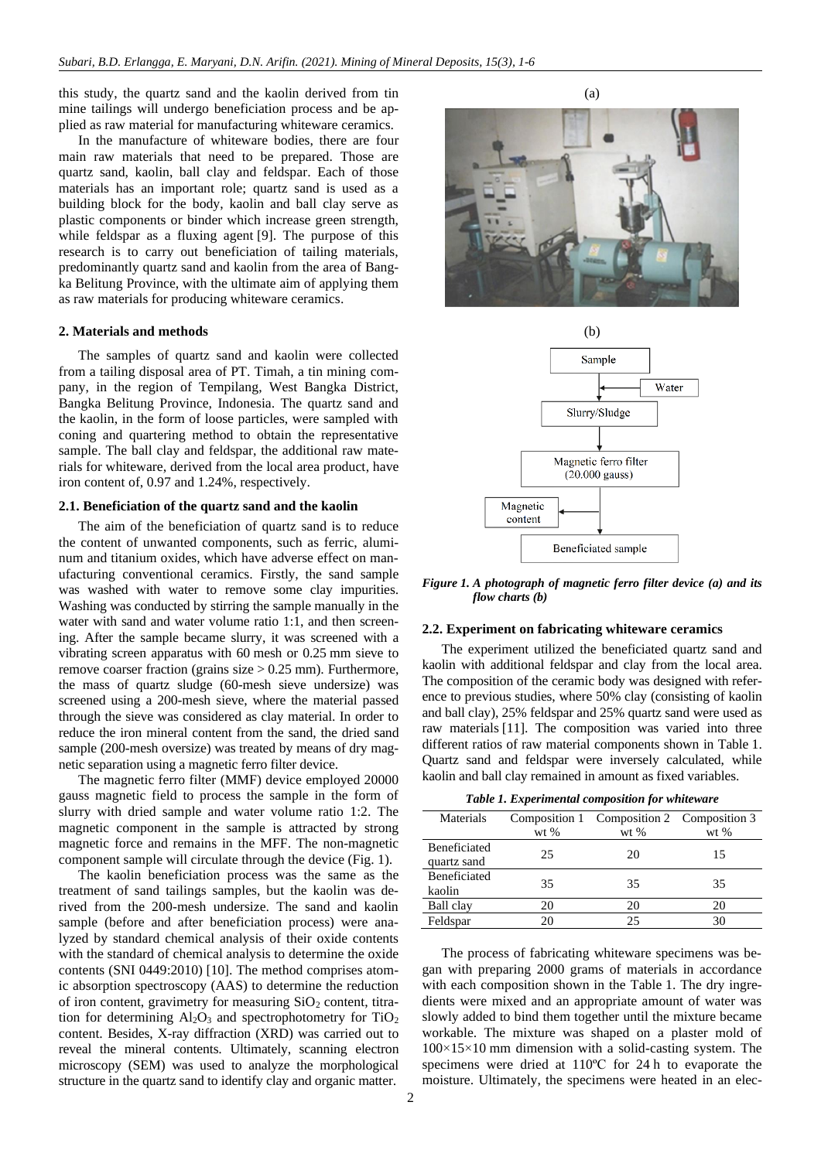this study, the quartz sand and the kaolin derived from tin mine tailings will undergo beneficiation process and be applied as raw material for manufacturing whiteware ceramics.

In the manufacture of whiteware bodies, there are four main raw materials that need to be prepared. Those are quartz sand, kaolin, ball clay and feldspar. Each of those materials has an important role; quartz sand is used as a building block for the body, kaolin and ball clay serve as plastic components or binder which increase green strength, while feldspar as a fluxing agent [\[9\].](#page-4-8) The purpose of this research is to carry out beneficiation of tailing materials, predominantly quartz sand and kaolin from the area of Bangka Belitung Province, with the ultimate aim of applying them as raw materials for producing whiteware ceramics.

#### **2. Materials and methods**

The samples of quartz sand and kaolin were collected from a tailing disposal area of PT. Timah, a tin mining company, in the region of Tempilang, West Bangka District, Bangka Belitung Province, Indonesia. The quartz sand and the kaolin, in the form of loose particles, were sampled with coning and quartering method to obtain the representative sample. The ball clay and feldspar, the additional raw materials for whiteware, derived from the local area product, have iron content of, 0.97 and 1.24%, respectively.

## **2.1. Beneficiation of the quartz sand and the kaolin**

The aim of the beneficiation of quartz sand is to reduce the content of unwanted components, such as ferric, aluminum and titanium oxides, which have adverse effect on manufacturing conventional ceramics. Firstly, the sand sample was washed with water to remove some clay impurities. Washing was conducted by stirring the sample manually in the water with sand and water volume ratio 1:1, and then screening. After the sample became slurry, it was screened with a vibrating screen apparatus with 60 mesh or 0.25 mm sieve to remove coarser fraction (grains size > 0.25 mm). Furthermore, the mass of quartz sludge (60-mesh sieve undersize) was screened using a 200-mesh sieve, where the material passed through the sieve was considered as clay material. In order to reduce the iron mineral content from the sand, the dried sand sample (200-mesh oversize) was treated by means of dry magnetic separation using a magnetic ferro filter device.

The magnetic ferro filter (MMF) device employed 20000 gauss magnetic field to process the sample in the form of slurry with dried sample and water volume ratio 1:2. The magnetic component in the sample is attracted by strong magnetic force and remains in the MFF. The non-magnetic component sample will circulate through the device (Fig. 1).

The kaolin beneficiation process was the same as the treatment of sand tailings samples, but the kaolin was derived from the 200-mesh undersize. The sand and kaolin sample (before and after beneficiation process) were analyzed by standard chemical analysis of their oxide contents with the standard of chemical analysis to determine the oxide contents (SNI 0449:2010) [\[10\].](#page-4-9) The method comprises atomic absorption spectroscopy (AAS) to determine the reduction of iron content, gravimetry for measuring  $SiO<sub>2</sub>$  content, titration for determining  $Al_2O_3$  and spectrophotometry for  $TiO_2$ content. Besides, X-ray diffraction (XRD) was carried out to reveal the mineral contents. Ultimately, scanning electron microscopy (SEM) was used to analyze the morphological structure in the quartz sand to identify clay and organic matter.

(a)





*Figure 1. A photograph of magnetic ferro filter device (a) and its flow charts (b)*

#### **2.2. Experiment on fabricating whiteware ceramics**

The experiment utilized the beneficiated quartz sand and kaolin with additional feldspar and clay from the local area. The composition of the ceramic body was designed with reference to previous studies, where 50% clay (consisting of kaolin and ball clay), 25% feldspar and 25% quartz sand were used as raw materials [\[11\].](#page-4-10) The composition was varied into three different ratios of raw material components shown in Table 1. Quartz sand and feldspar were inversely calculated, while kaolin and ball clay remained in amount as fixed variables.

*Table 1. Experimental composition for whiteware*

| Materials                          | $wt$ % | Composition 1 Composition 2 Composition 3<br>$wt$ % | $wt$ % |
|------------------------------------|--------|-----------------------------------------------------|--------|
| <b>Beneficiated</b><br>quartz sand | 25     | 20                                                  | 15     |
| <b>Beneficiated</b><br>kaolin      | 35     | 35                                                  | 35     |
| Ball clay                          | 20     | 20                                                  | 20     |
| Feldspar                           |        | 25                                                  |        |

The process of fabricating whiteware specimens was began with preparing 2000 grams of materials in accordance with each composition shown in the Table 1. The dry ingredients were mixed and an appropriate amount of water was slowly added to bind them together until the mixture became workable. The mixture was shaped on a plaster mold of  $100\times15\times10$  mm dimension with a solid-casting system. The specimens were dried at 110ºC for 24 h to evaporate the moisture. Ultimately, the specimens were heated in an elec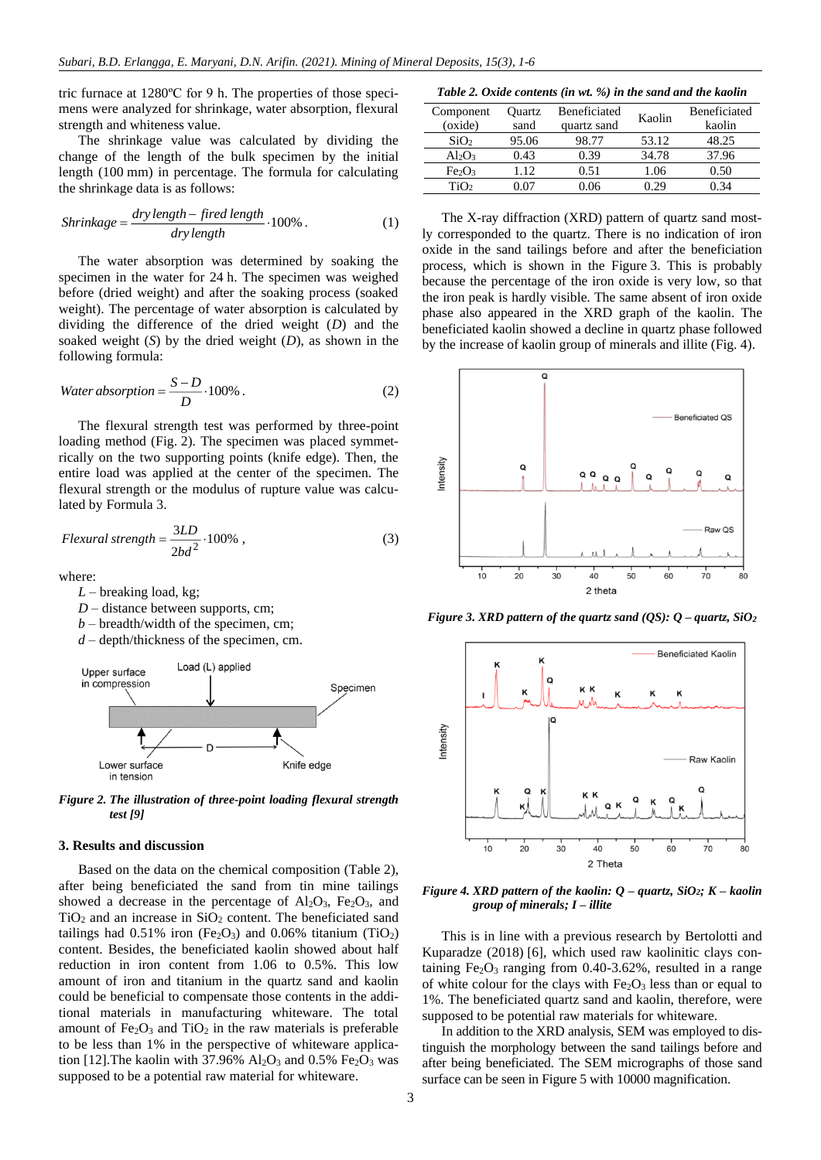tric furnace at 1280ºC for 9 h. The properties of those specimens were analyzed for shrinkage, water absorption, flexural strength and whiteness value.

The shrinkage value was calculated by dividing the change of the length of the bulk specimen by the initial length (100 mm) in percentage. The formula for calculating the shrinkage data is as follows:

$$
Shrinkage = \frac{dry\ length - fired\ length}{dry\ length} \cdot 100\% \,. \tag{1}
$$

The water absorption was determined by soaking the specimen in the water for 24 h. The specimen was weighed before (dried weight) and after the soaking process (soaked weight). The percentage of water absorption is calculated by dividing the difference of the dried weight (*D*) and the soaked weight (*S*) by the dried weight (*D*), as shown in the following formula:

Water absorption = 
$$
\frac{S - D}{D} \cdot 100\% .
$$
 (2)

The flexural strength test was performed by three-point loading method (Fig. 2). The specimen was placed symmetrically on the two supporting points (knife edge). Then, the entire load was applied at the center of the specimen. The flexural strength or the modulus of rupture value was calculated by Formula 3.

$$
Flexural\ strength = \frac{3LD}{2bd^2} \cdot 100\% \tag{3}
$$

where:

*L* – breaking load, kg;

- *D* distance between supports, cm;
- *b* breadth/width of the specimen, cm;
- *d* depth/thickness of the specimen, cm.



*Figure 2. The illustration of three-point loading flexural strength test [\[9\]](#page-4-8)*

#### **3. Results and discussion**

Based on the data on the chemical composition (Table 2), after being beneficiated the sand from tin mine tailings showed a decrease in the percentage of  $Al_2O_3$ ,  $Fe_2O_3$ , and  $TiO<sub>2</sub>$  and an increase in  $SiO<sub>2</sub>$  content. The beneficiated sand tailings had  $0.51\%$  iron (Fe<sub>2</sub>O<sub>3</sub>) and  $0.06\%$  titanium (TiO<sub>2</sub>) content. Besides, the beneficiated kaolin showed about half reduction in iron content from 1.06 to 0.5%. This low amount of iron and titanium in the quartz sand and kaolin could be beneficial to compensate those contents in the additional materials in manufacturing whiteware. The total amount of  $Fe<sub>2</sub>O<sub>3</sub>$  and  $TiO<sub>2</sub>$  in the raw materials is preferable to be less than 1% in the perspective of whiteware application [12]. The kaolin with 37.96%  $Al_2O_3$  and 0.5% Fe<sub>2</sub>O<sub>3</sub> was supposed to be a potential raw material for whiteware.

*Table 2. Oxide contents (in wt. %) in the sand and the kaolin*

| Component<br>(oxide)           | Ouartz<br>sand | Beneficiated<br>quartz sand | Kaolin | Beneficiated<br>kaolin |
|--------------------------------|----------------|-----------------------------|--------|------------------------|
| SiO <sub>2</sub>               | 95.06          | 98.77                       | 53.12  | 48.25                  |
| Al2O3                          | 0.43           | 0.39                        | 34.78  | 37.96                  |
| Fe <sub>2</sub> O <sub>3</sub> | 112            | 0.51                        | 1.06   | 0.50                   |
| TiO2                           |                | 1.06                        | . 20   | 34                     |

The X-ray diffraction (XRD) pattern of quartz sand mostly corresponded to the quartz. There is no indication of iron oxide in the sand tailings before and after the beneficiation process, which is shown in the Figure 3. This is probably because the percentage of the iron oxide is very low, so that the iron peak is hardly visible. The same absent of iron oxide phase also appeared in the XRD graph of the kaolin. The beneficiated kaolin showed a decline in quartz phase followed by the increase of kaolin group of minerals and illite (Fig. 4).



*Figure* 3. *XRD pattern of the quartz sand (QS):*  $Q$  *– quartz,*  $SiO<sub>2</sub>$ 



*Figure* 4. *XRD* pattern of the kaolin:  $Q$  – quartz,  $SiO_2$ ;  $K$  – kaolin *group of minerals; I – illite*

This is in line with a previous research by Bertolotti and Kuparadze (2018) [\[6\],](#page-4-5) which used raw kaolinitic clays containing  $Fe<sub>2</sub>O<sub>3</sub>$  ranging from 0.40-3.62%, resulted in a range of white colour for the clays with  $Fe<sub>2</sub>O<sub>3</sub>$  less than or equal to 1%. The beneficiated quartz sand and kaolin, therefore, were supposed to be potential raw materials for whiteware.

In addition to the XRD analysis, SEM was employed to distinguish the morphology between the sand tailings before and after being beneficiated. The SEM micrographs of those sand surface can be seen in Figure 5 with 10000 magnification.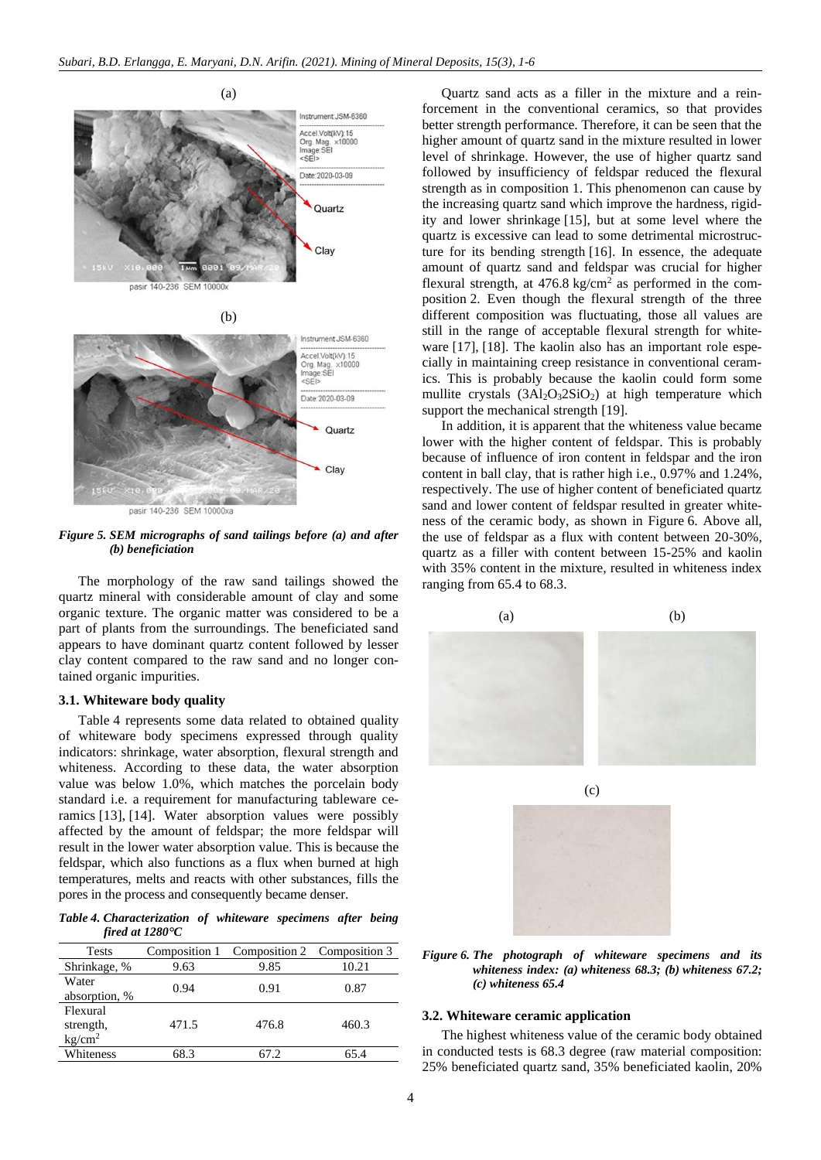

*Figure 5. SEM micrographs of sand tailings before (a) and after (b) beneficiation*

The morphology of the raw sand tailings showed the quartz mineral with considerable amount of clay and some organic texture. The organic matter was considered to be a part of plants from the surroundings. The beneficiated sand appears to have dominant quartz content followed by lesser clay content compared to the raw sand and no longer contained organic impurities.

## **3.1. Whiteware body quality**

Table 4 represents some data related to obtained quality of whiteware body specimens expressed through quality indicators: shrinkage, water absorption, flexural strength and whiteness. According to these data, the water absorption value was below 1.0%, which matches the porcelain body standard i.e. a requirement for manufacturing tableware ceramics [13], [14]. Water absorption values were possibly affected by the amount of feldspar; the more feldspar will result in the lower water absorption value. This is because the feldspar, which also functions as a flux when burned at high temperatures, melts and reacts with other substances, fills the pores in the process and consequently became denser.

*Table 4. Characterization of whiteware specimens after being fired at 1280°C*

| <b>Tests</b>                                | Composition 1 | Composition 2 Composition 3 |       |
|---------------------------------------------|---------------|-----------------------------|-------|
| Shrinkage, %                                | 9.63          | 9.85                        | 10.21 |
| Water<br>absorption, %                      | 0.94          | 0.91                        | 0.87  |
| Flexural<br>strength,<br>kg/cm <sup>2</sup> | 471.5         | 476.8                       | 460.3 |
| Whiteness                                   | 68.3          | 67.2                        | 65.4  |

Quartz sand acts as a filler in the mixture and a reinforcement in the conventional ceramics, so that provides better strength performance. Therefore, it can be seen that the higher amount of quartz sand in the mixture resulted in lower level of shrinkage. However, the use of higher quartz sand followed by insufficiency of feldspar reduced the flexural strength as in composition 1. This phenomenon can cause by the increasing quartz sand which improve the hardness, rigidity and lower shrinkage [15], but at some level where the quartz is excessive can lead to some detrimental microstructure for its bending strength [16]. In essence, the adequate amount of quartz sand and feldspar was crucial for higher flexural strength, at  $476.8 \text{ kg/cm}^2$  as performed in the composition 2. Even though the flexural strength of the three different composition was fluctuating, those all values are still in the range of acceptable flexural strength for whiteware [17], [18]. The kaolin also has an important role especially in maintaining creep resistance in conventional ceramics. This is probably because the kaolin could form some mullite crystals  $(3Al_2O_32SiO_2)$  at high temperature which support the mechanical strength [19].

In addition, it is apparent that the whiteness value became lower with the higher content of feldspar. This is probably because of influence of iron content in feldspar and the iron content in ball clay, that is rather high i.e., 0.97% and 1.24%, respectively. The use of higher content of beneficiated quartz sand and lower content of feldspar resulted in greater whiteness of the ceramic body, as shown in Figure 6. Above all, the use of feldspar as a flux with content between 20-30%, quartz as a filler with content between 15-25% and kaolin with 35% content in the mixture, resulted in whiteness index ranging from 65.4 to 68.3.



*Figure 6. The photograph of whiteware specimens and its whiteness index: (a) whiteness 68.3; (b) whiteness 67.2; (c) whiteness 65.4*

## **3.2. Whiteware ceramic application**

The highest whiteness value of the ceramic body obtained in conducted tests is 68.3 degree (raw material composition: 25% beneficiated quartz sand, 35% beneficiated kaolin, 20%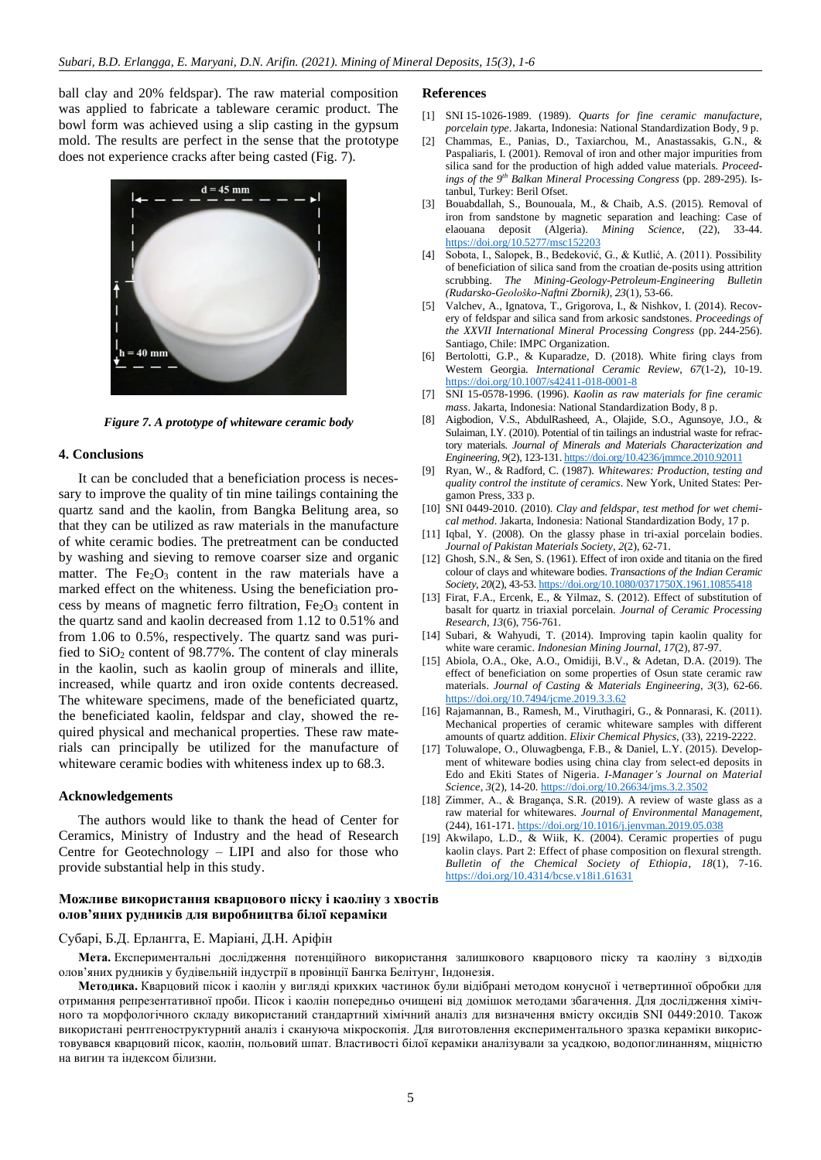ball clay and 20% feldspar). The raw material composition was applied to fabricate a tableware ceramic product. The bowl form was achieved using a slip casting in the gypsum mold. The results are perfect in the sense that the prototype does not experience cracks after being casted (Fig. 7).



*Figure 7. A prototype of whiteware ceramic body*

#### **4. Conclusions**

It can be concluded that a beneficiation process is necessary to improve the quality of tin mine tailings containing the quartz sand and the kaolin, from Bangka Belitung area, so that they can be utilized as raw materials in the manufacture of white ceramic bodies. The pretreatment can be conducted by washing and sieving to remove coarser size and organic matter. The  $Fe<sub>2</sub>O<sub>3</sub>$  content in the raw materials have a marked effect on the whiteness. Using the beneficiation process by means of magnetic ferro filtration,  $Fe<sub>2</sub>O<sub>3</sub>$  content in the quartz sand and kaolin decreased from 1.12 to 0.51% and from 1.06 to 0.5%, respectively. The quartz sand was purified to  $SiO<sub>2</sub>$  content of 98.77%. The content of clay minerals in the kaolin, such as kaolin group of minerals and illite, increased, while quartz and iron oxide contents decreased. The whiteware specimens, made of the beneficiated quartz, the beneficiated kaolin, feldspar and clay, showed the required physical and mechanical properties. These raw materials can principally be utilized for the manufacture of whiteware ceramic bodies with whiteness index up to 68.3.

#### **Acknowledgements**

The authors would like to thank the head of Center for Ceramics, Ministry of Industry and the head of Research Centre for Geotechnology – LIPI and also for those who provide substantial help in this study.

## **References**

- <span id="page-4-0"></span>[1] SNI 15-1026-1989. (1989). *Quarts for fine ceramic manufacture, porcelain type*. Jakarta, Indonesia: National Standardization Body, 9 p.
- <span id="page-4-1"></span>[2] Chammas, E., Panias, D., Taxiarchou, M., Anastassakis, G.N., & Paspaliaris, I. (2001). Removal of iron and other major impurities from silica sand for the production of high added value materials. *Proceedings of the 9th Balkan Mineral Processing Congress* (pp. 289-295). Istanbul, Turkey: Beril Ofset.
- <span id="page-4-2"></span>[3] Bouabdallah, S., Bounouala, M., & Chaib, A.S. (2015). Removal of iron from sandstone by magnetic separation and leaching: Case of elaouana deposit (Algeria). *Mining Science*, (22), 33-44. https://doi.org/10.5277/msc152203
- <span id="page-4-3"></span>[4] Sobota, I., Salopek, B., Bedeković, G., & Kutlić, A. (2011). Possibility of beneficiation of silica sand from the croatian de-posits using attrition scrubbing. *The Mining-Geology-Petroleum-Engineering Bulletin (Rudarsko-Geološko-Naftni Zbornik)*, *23*(1), 53-66.
- <span id="page-4-4"></span>[5] Valchev, A., Ignatova, T., Grigorova, I., & Nishkov, I. (2014). Recovery of feldspar and silica sand from arkosic sandstones. *Proceedings of the XXVII International Mineral Processing Congress* (pp. 244-256). Santiago, Chile: IMPC Organization.
- <span id="page-4-5"></span>[6] Bertolotti, G.P., & Kuparadze, D. (2018). White firing clays from Western Georgia. *International Ceramic Review*, *67*(1-2), 10-19. https://doi.org/10.1007/s42411-018-0001-8
- <span id="page-4-6"></span>[7] SNI 15-0578-1996. (1996). *Kaolin as raw materials for fine ceramic mass*. Jakarta, Indonesia: National Standardization Body, 8 p.
- <span id="page-4-7"></span>[8] Aigbodion, V.S., AbdulRasheed, A., Olajide, S.O., Agunsoye, J.O., & Sulaiman, I.Y. (2010). Potential of tin tailings an industrial waste for refractory materials. *Journal of Minerals and Materials Characterization and Engineering*, *9*(2), 123-131. https://doi.org/10.4236/jmmce.2010.92011
- <span id="page-4-8"></span>[9] Ryan, W., & Radford, C. (1987). *Whitewares: Production, testing and quality control the institute of ceramics*. New York, United States: Pergamon Press, 333 p.
- <span id="page-4-9"></span>[10] SNI 0449-2010. (2010). *Clay and feldspar, test method for wet chemical method*. Jakarta, Indonesia: National Standardization Body, 17 p.
- <span id="page-4-10"></span>[11] Iqbal, Y. (2008). On the glassy phase in tri-axial porcelain bodies. *Journal of Pakistan Materials Society*, *2*(2), 62-71.
- <span id="page-4-11"></span>[12] Ghosh, S.N., & Sen, S. (1961). Effect of iron oxide and titania on the fired colour of clays and whiteware bodies. *Transactions of the Indian Ceramic Society*, *20*(2), 43-53. https://doi.org/10.1080/0371750X.1961.10855418
- [13] Firat, F.A., Ercenk, E., & Yilmaz, S. (2012). Effect of substitution of basalt for quartz in triaxial porcelain. *Journal of Ceramic Processing Research*, *13*(6), 756-761.
- [14] Subari, & Wahyudi, T. (2014). Improving tapin kaolin quality for white ware ceramic. *Indonesian Mining Journal*, *17*(2), 87-97.
- [15] Abiola, O.A., Oke, A.O., Omidiji, B.V., & Adetan, D.A. (2019). The effect of beneficiation on some properties of Osun state ceramic raw materials. *Journal of Casting & Materials Engineering*, *3*(3), 62-66. https://doi.org/10.7494/jcme.2019.3.3.62
- [16] Rajamannan, B., Ramesh, M., Viruthagiri, G., & Ponnarasi, K. (2011). Mechanical properties of ceramic whiteware samples with different amounts of quartz addition. *Elixir Chemical Physics*, (33), 2219-2222.
- [17] Toluwalope, O., Oluwagbenga, F.B., & Daniel, L.Y. (2015). Development of whiteware bodies using china clay from select-ed deposits in Edo and Ekiti States of Nigeria. *I-Manager's Journal on Material Science*, *3*(2), 14-20. https://doi.org/10.26634/jms.3.2.3502
- [18] Zimmer, A., & Bragança, S.R. (2019). A review of waste glass as a raw material for whitewares. *Journal of Environmental Management*, (244), 161-171. https://doi.org/10.1016/j.jenvman.2019.05.038
- [19] Akwilapo, L.D., & Wiik, K. (2004). Ceramic properties of pugu kaolin clays. Part 2: Effect of phase composition on flexural strength. *Bulletin of the Chemical Society of Ethiopia*, *18*(1), 7-16. https://doi.org/10.4314/bcse.v18i1.61631

## **Можливе використання кварцового піску і каоліну з хвостів олов'яних рудників для виробництва білої кераміки**

#### Субарі, Б.Д. Ерлангга, Е. Маріані, Д.Н. Аріфін

**Мета.** Експериментальні дослідження потенційного використання залишкового кварцового піску та каоліну з відходів олов'яних рудників у будівельній індустрії в провінції Бангка Белітунг, Індонезія.

**Методика.** Кварцовий пісок і каолін у вигляді крихких частинок були відібрані методом конусної і четвертинної обробки для отримання репрезентативної проби. Пісок і каолін попередньо очищені від домішок методами збагачення. Для дослідження хімічного та морфологічного складу використаний стандартний хімічний аналіз для визначення вмісту оксидів SNI 0449:2010. Також використані рентгеноструктурний аналіз і скануюча мікроскопія. Для виготовлення експериментального зразка кераміки використовувався кварцовий пісок, каолін, польовий шпат. Властивості білої кераміки аналізували за усадкою, водопоглинанням, міцністю на вигин та індексом білизни.